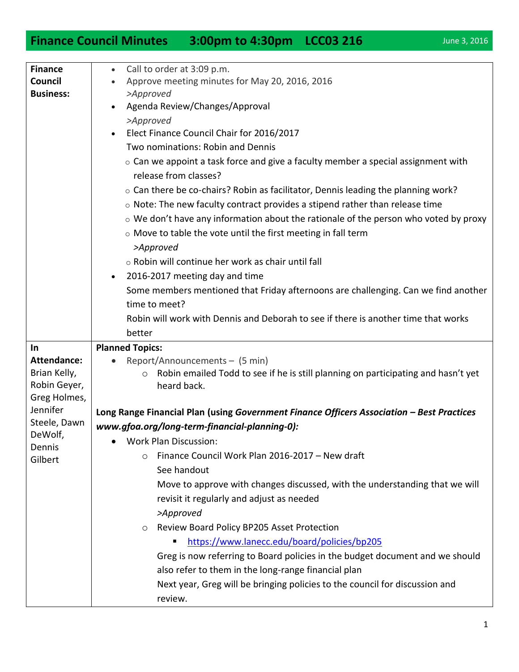## **Finance Council Minutes 3:00pm to 4:30pm LCC03 216** June 3, 2016

| <b>Finance</b>           | Call to order at 3:09 p.m.<br>$\bullet$                                                      |
|--------------------------|----------------------------------------------------------------------------------------------|
| Council                  | Approve meeting minutes for May 20, 2016, 2016                                               |
| <b>Business:</b>         | >Approved                                                                                    |
|                          | Agenda Review/Changes/Approval                                                               |
|                          | >Approved                                                                                    |
|                          | Elect Finance Council Chair for 2016/2017                                                    |
|                          | Two nominations: Robin and Dennis                                                            |
|                          | $\circ$ Can we appoint a task force and give a faculty member a special assignment with      |
|                          | release from classes?                                                                        |
|                          | $\circ$ Can there be co-chairs? Robin as facilitator, Dennis leading the planning work?      |
|                          | $\circ$ Note: The new faculty contract provides a stipend rather than release time           |
|                          | $\circ$ We don't have any information about the rationale of the person who voted by proxy   |
|                          | o Move to table the vote until the first meeting in fall term                                |
|                          | >Approved                                                                                    |
|                          | o Robin will continue her work as chair until fall                                           |
|                          | 2016-2017 meeting day and time<br>$\bullet$                                                  |
|                          | Some members mentioned that Friday afternoons are challenging. Can we find another           |
|                          | time to meet?                                                                                |
|                          |                                                                                              |
|                          | Robin will work with Dennis and Deborah to see if there is another time that works           |
|                          | better                                                                                       |
| In                       | <b>Planned Topics:</b>                                                                       |
| <b>Attendance:</b>       | Report/Announcements - (5 min)                                                               |
| Brian Kelly,             | Robin emailed Todd to see if he is still planning on participating and hasn't yet<br>$\circ$ |
| Robin Geyer,             | heard back.                                                                                  |
| Greg Holmes,<br>Jennifer |                                                                                              |
| Steele, Dawn             | Long Range Financial Plan (using Government Finance Officers Association - Best Practices    |
| DeWolf,                  | www.gfoa.org/long-term-financial-planning-0):                                                |
| Dennis                   | Work Plan Discussion:                                                                        |
| Gilbert                  | Finance Council Work Plan 2016-2017 - New draft<br>$\circ$                                   |
|                          | See handout                                                                                  |
|                          | Move to approve with changes discussed, with the understanding that we will                  |
|                          | revisit it regularly and adjust as needed                                                    |
|                          | >Approved                                                                                    |
|                          | Review Board Policy BP205 Asset Protection<br>$\circ$                                        |
|                          | https://www.lanecc.edu/board/policies/bp205                                                  |
|                          | Greg is now referring to Board policies in the budget document and we should                 |
|                          | also refer to them in the long-range financial plan                                          |
|                          | Next year, Greg will be bringing policies to the council for discussion and                  |
|                          | review.                                                                                      |
|                          |                                                                                              |